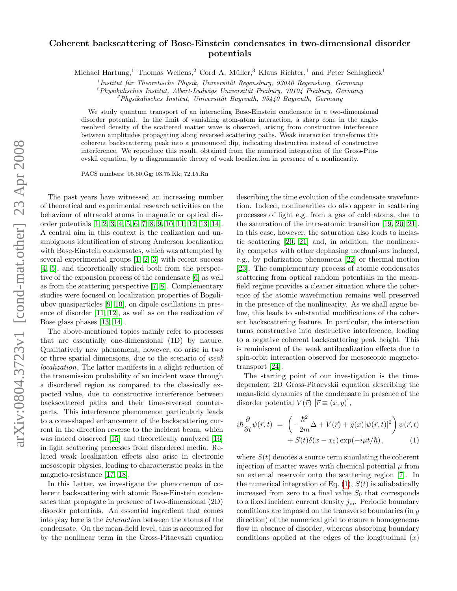## Coherent backscattering of Bose-Einstein condensates in two-dimensional disorder potentials

Michael Hartung,<sup>1</sup> Thomas Wellens,<sup>2</sup> Cord A. Müller,<sup>3</sup> Klaus Richter,<sup>1</sup> and Peter Schlagheck<sup>1</sup>

 $1$ Institut für Theoretische Physik, Universität Regensburg, 93040 Regensburg, Germany

 $^{2}$ Physikalisches Institut, Albert-Ludwigs Universität Freiburg,  $79104$  Freiburg, Germany

 $3$ Physikalisches Institut, Universität Bayreuth, 95440 Bayreuth, Germany

We study quantum transport of an interacting Bose-Einstein condensate in a two-dimensional disorder potential. In the limit of vanishing atom-atom interaction, a sharp cone in the angleresolved density of the scattered matter wave is observed, arising from constructive interference between amplitudes propagating along reversed scattering paths. Weak interaction transforms this coherent backscattering peak into a pronounced dip, indicating destructive instead of constructive interference. We reproduce this result, obtained from the numerical integration of the Gross-Pitaevskii equation, by a diagrammatic theory of weak localization in presence of a nonlinearity.

PACS numbers: 05.60.Gg; 03.75.Kk; 72.15.Rn

The past years have witnessed an increasing number of theoretical and experimental research activities on the behaviour of ultracold atoms in magnetic or optical disorder potentials [\[1,](#page-3-0) [2,](#page-3-1) [3,](#page-3-2) [4,](#page-3-3) [5,](#page-3-4) [6,](#page-3-5) [7,](#page-3-6) [8,](#page-3-7) [9,](#page-3-8) [10,](#page-3-9) [11,](#page-3-10) [12,](#page-3-11) [13,](#page-3-12) [14\]](#page-3-13). A central aim in this context is the realization and unambiguous identification of strong Anderson localization with Bose-Einstein condensates, which was attempted by several experimental groups [\[1,](#page-3-0) [2,](#page-3-1) [3\]](#page-3-2) with recent success [\[4,](#page-3-3) [5\]](#page-3-4), and theoretically studied both from the perspective of the expansion process of the condensate [\[6\]](#page-3-5) as well as from the scattering perspective [\[7,](#page-3-6) [8\]](#page-3-7). Complementary studies were focused on localization properties of Bogoliubov quasiparticles [\[9,](#page-3-8) [10\]](#page-3-9), on dipole oscillations in presence of disorder [\[11,](#page-3-10) [12\]](#page-3-11), as well as on the realization of Bose glass phases [\[13,](#page-3-12) [14\]](#page-3-13).

The above-mentioned topics mainly refer to processes that are essentially one-dimensional (1D) by nature. Qualitatively new phenomena, however, do arise in two or three spatial dimensions, due to the scenario of weak localization. The latter manifests in a slight reduction of the transmission probability of an incident wave through a disordered region as compared to the classically expected value, due to constructive interference between backscattered paths and their time-reversed counterparts. This interference phenomenon particularly leads to a cone-shaped enhancement of the backscattering current in the direction reverse to the incident beam, which was indeed observed [\[15\]](#page-3-14) and theoretically analyzed [\[16\]](#page-3-15) in light scattering processes from disordered media. Related weak localization effects also arise in electronic mesoscopic physics, leading to characteristic peaks in the magneto-resistance [\[17,](#page-3-16) [18\]](#page-3-17).

In this Letter, we investigate the phenomenon of coherent backscattering with atomic Bose-Einstein condensates that propagate in presence of two-dimensional (2D) disorder potentials. An essential ingredient that comes into play here is the interaction between the atoms of the condensate. On the mean-field level, this is accounted for by the nonlinear term in the Gross-Pitaevskii equation describing the time evolution of the condensate wavefunction. Indeed, nonlinearities do also appear in scattering processes of light e.g. from a gas of cold atoms, due to the saturation of the intra-atomic transition [\[19,](#page-3-18) [20,](#page-3-19) [21\]](#page-3-20). In this case, however, the saturation also leads to inelastic scattering [\[20,](#page-3-19) [21\]](#page-3-20) and, in addition, the nonlinearity competes with other dephasing mechanisms induced, e.g., by polarization phenomena [\[22\]](#page-3-21) or thermal motion [\[23\]](#page-3-22). The complementary process of atomic condensates scattering from optical random potentials in the meanfield regime provides a cleaner situation where the coherence of the atomic wavefunction remains well preserved in the presence of the nonlinearity. As we shall argue below, this leads to substantial modifications of the coherent backscattering feature. In particular, the interaction turns constructive into destructive interference, leading to a negative coherent backscattering peak height. This is reminiscent of the weak antilocalization effects due to spin-orbit interaction observed for mesoscopic magnetotransport [\[24\]](#page-3-23).

The starting point of our investigation is the timedependent 2D Gross-Pitaevskii equation describing the mean-field dynamics of the condensate in presence of the disorder potential  $V(\vec{r})$   $[\vec{r} \equiv (x, y)],$ 

<span id="page-0-0"></span>
$$
i\hbar \frac{\partial}{\partial t} \psi(\vec{r}, t) = \left( -\frac{\hbar^2}{2m} \Delta + V(\vec{r}) + \tilde{g}(x) |\psi(\vec{r}, t)|^2 \right) \psi(\vec{r}, t) + S(t)\delta(x - x_0) \exp(-i\mu t/\hbar), \tag{1}
$$

where  $S(t)$  denotes a source term simulating the coherent injection of matter waves with chemical potential  $\mu$  from an external reservoir onto the scattering region [\[7\]](#page-3-6). In the numerical integration of Eq.  $(1)$ ,  $S(t)$  is adiabatically increased from zero to a final value  $S_0$  that corresponds to a fixed incident current density  $j_{\text{in}}$ . Periodic boundary conditions are imposed on the transverse boundaries (in y direction) of the numerical grid to ensure a homogeneous flow in absence of disorder, whereas absorbing boundary conditions applied at the edges of the longitudinal  $(x)$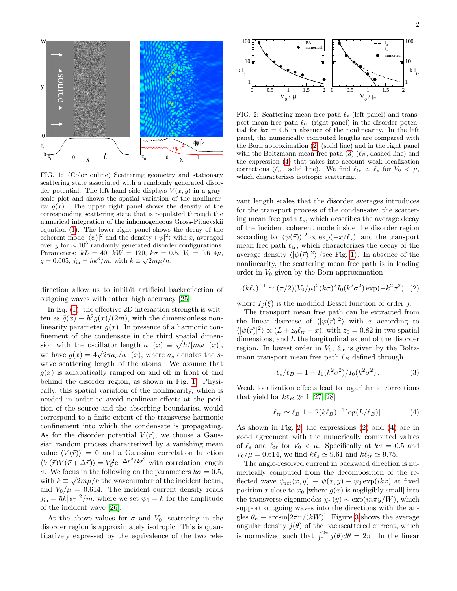

<span id="page-1-0"></span>FIG. 1: (Color online) Scattering geometry and stationary scattering state associated with a randomly generated disorder potential. The left-hand side displays  $V(x, y)$  in a grayscale plot and shows the spatial variation of the nonlinearity  $g(x)$ . The upper right panel shows the density of the corresponding scattering state that is populated through the numerical integration of the inhomogeneous Gross-Pitaevskii equation [\(1\)](#page-0-0). The lower right panel shows the decay of the coherent mode  $|\langle \psi \rangle|^2$  and the density  $\langle |\psi|^2 \rangle$  with x, averaged over y for  $\sim 10^3$  randomly generated disorder configurations. Parameters:  $kL = 40, \ kW = 120, \ k\sigma = 0.5, \ V_0 = 0.614\mu,$  $g = 0.005, j_{\text{in}} = \hbar k^3 / m$ , with  $k \equiv \sqrt{2m\mu}/\hbar$ .

direction allow us to inhibit artificial backreflection of outgoing waves with rather high accuracy [\[25\]](#page-3-24).

In Eq. [\(1\)](#page-0-0), the effective 2D interaction strength is written as  $\tilde{g}(x) \equiv \hbar^2 g(x)/(2m)$ , with the dimensionless nonlinearity parameter  $g(x)$ . In presence of a harmonic confinement of the condensate in the third spatial dimension with the oscillator length  $a_{\perp}(x) \equiv \sqrt{\hbar/[m\omega_{\perp}(x)]}$ , sion with the oscillator length  $u_{\perp}(x) = \sqrt{n/\mu} \omega_{\perp}(x)$ ,<br>we have  $g(x) = 4\sqrt{2\pi} a_s/a_{\perp}(x)$ , where  $a_s$  denotes the swave scattering length of the atoms. We assume that  $q(x)$  is adiabatically ramped on and off in front of and behind the disorder region, as shown in Fig. [1.](#page-1-0) Physically, this spatial variation of the nonlinearity, which is needed in order to avoid nonlinear effects at the position of the source and the absorbing boundaries, would correspond to a finite extent of the transverse harmonic confinement into which the condensate is propagating. As for the disorder potential  $V(\vec{r})$ , we choose a Gaussian random process characterized by a vanishing mean value  $\langle V(\vec{r})\rangle = 0$  and a Gaussian correlation function  $\langle V(\vec{r})V(\vec{r} + \Delta \vec{r}) \rangle = V_0^2 e^{-\Delta r^2/2\sigma^2}$  with correlation length σ. We focus in the following on the parameters  $k\sigma = 0.5$ , with  $k \equiv \sqrt{2m\mu}/\hbar$  the wavenumber of the incident beam, and  $V_0/\mu = 0.614$ . The incident current density reads  $j_{\text{in}} = \hbar k |\psi_0|^2/m$ , where we set  $\psi_0 = k$  for the amplitude of the incident wave [\[26\]](#page-3-25).

At the above values for  $\sigma$  and  $V_0$ , scattering in the disorder region is approximately isotropic. This is quantitatively expressed by the equivalence of the two rele-



<span id="page-1-4"></span>FIG. 2: Scattering mean free path  $\ell_s$  (left panel) and transport mean free path  $\ell_{tr}$  (right panel) in the disorder potential for  $k\sigma = 0.5$  in absence of the nonlinearity. In the left panel, the numerically computed lengths are compared with the Born approximation [\(2\)](#page-1-1) (solid line) and in the right panel with the Boltzmann mean free path  $(3)$  ( $\ell_B$ , dashed line) and the expression [\(4\)](#page-1-3) that takes into account weak localization corrections ( $\ell_{tr}$ , solid line). We find  $\ell_{tr} \simeq \ell_s$  for  $V_0 < \mu$ , which characterizes isotropic scattering.

vant length scales that the disorder averages introduces for the transport process of the condensate: the scattering mean free path  $\ell_s$ , which describes the average decay of the incident coherent mode inside the disorder region according to  $|\langle \psi(\vec{r})\rangle|^2 \propto \exp(-x/\ell_s)$ , and the transport mean free path  $\ell_{tr}$ , which characterizes the decay of the average density  $\langle |\psi(\vec{r})|^2 \rangle$  (see Fig. [1\)](#page-1-0). In absence of the nonlinearity, the scattering mean free path is in leading order in  $V_0$  given by the Born approximation

<span id="page-1-1"></span>
$$
(k\ell_s)^{-1} \simeq (\pi/2)(V_0/\mu)^2 (k\sigma)^2 I_0(k^2\sigma^2) \exp(-k^2\sigma^2) \tag{2}
$$

where  $I_i(\xi)$  is the modified Bessel function of order j.

The transport mean free path can be extracted from the linear decrease of  $\langle |\psi(\vec{r})|^2 \rangle$  with x according to  $\langle |\psi(\vec{r})|^2 \rangle \propto (L + z_0 \ell_{tr} - x),$  with  $z_0 = 0.82$  in two spatial dimensions, and  $L$  the longitudinal extent of the disorder region. In lowest order in  $V_0$ ,  $\ell_{tr}$  is given by the Boltzmann transport mean free path  $\ell_B$  defined through

<span id="page-1-2"></span>
$$
\ell_s/\ell_B = 1 - I_1(k^2 \sigma^2) / I_0(k^2 \sigma^2). \tag{3}
$$

Weak localization effects lead to logarithmic corrections that yield for  $k\ell_B \gg 1$  [\[27,](#page-3-26) [28\]](#page-3-27)

<span id="page-1-3"></span>
$$
\ell_{tr} \simeq \ell_B [1 - 2(k\ell_B)^{-1} \log(L/\ell_B)]. \tag{4}
$$

As shown in Fig. [2,](#page-1-4) the expressions [\(2\)](#page-1-1) and [\(4\)](#page-1-3) are in good agreement with the numerically computed values of  $\ell_s$  and  $\ell_{tr}$  for  $V_0 < \mu$ . Specifically at  $k\sigma = 0.5$  and  $V_0/\mu = 0.614$ , we find  $k\ell_s \simeq 9.61$  and  $k\ell_{tr} \simeq 9.75$ .

The angle-resolved current in backward direction is numerically computed from the decomposition of the reflected wave  $\psi_{\text{ref}}(x, y) \equiv \psi(x, y) - \psi_0 \exp(ikx)$  at fixed position x close to  $x_0$  [where  $g(x)$  is negligibly small] into the transverse eigenmodes  $\chi_n(y) \sim \exp(i n \pi y/W)$ , which support outgoing waves into the directions with the angles  $\theta_n \equiv \arcsin[2\pi n/(kW)]$ . Figure [3](#page-2-0) shows the average angular density  $j(\theta)$  of the backscattered current, which is normalized such that  $\int_0^{2\pi} j(\theta) d\theta = 2\pi$ . In the linear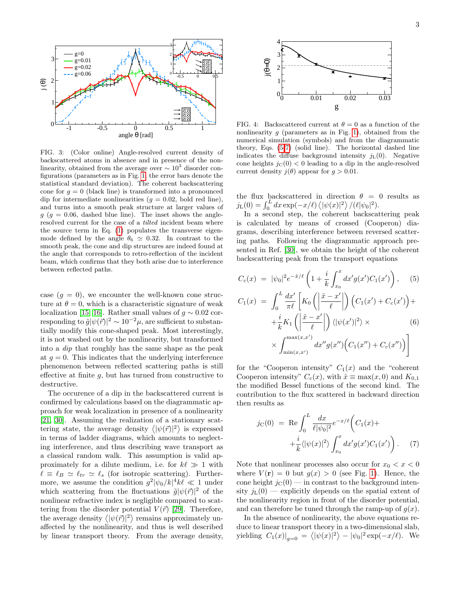

<span id="page-2-0"></span>FIG. 3: (Color online) Angle-resolved current density of backscattered atoms in absence and in presence of the nonlinearity, obtained from the average over  $\sim 10^3$  disorder configurations (parameters as in Fig. [1;](#page-1-0) the error bars denote the statistical standard deviation). The coherent backscattering cone for  $q = 0$  (black line) is transformed into a pronounced dip for intermediate nonlinearities  $(g = 0.02, \text{ bold red line}),$ and turns into a smooth peak structure at larger values of  $g$  ( $g = 0.06$ , dashed blue line). The inset shows the angleresolved current for the case of a tilted incident beam where the source term in Eq. [\(1\)](#page-0-0) populates the transverse eigenmode defined by the angle  $\theta_6 \simeq 0.32$ . In contrast to the smooth peak, the cone and dip structures are indeed found at the angle that corresponds to retro-reflection of the incident beam, which confirms that they both arise due to interference between reflected paths.

case  $(g = 0)$ , we encounter the well-known cone structure at  $\theta = 0$ , which is a characteristic signature of weak localization [\[15,](#page-3-14) [16\]](#page-3-15). Rather small values of  $q \sim 0.02$  corresponding to  $\tilde{g}|\psi(\vec{r})|^2 \sim 10^{-2}\mu$ , are sufficient to substantially modify this cone-shaped peak. Most interestingly, it is not washed out by the nonlinearity, but transformed into a dip that roughly has the same shape as the peak at  $g = 0$ . This indicates that the underlying interference phenomenon between reflected scattering paths is still effective at finite  $g$ , but has turned from constructive to destructive.

The occurence of a dip in the backscattered current is confirmed by calculations based on the diagrammatic approach for weak localization in presence of a nonlinearity [\[21,](#page-3-20) [30\]](#page-3-28). Assuming the realization of a stationary scattering state, the average density  $\langle |\psi(\vec{r})|^2 \rangle$  is expressed in terms of ladder diagrams, which amounts to neglecting interference, and thus describing wave transport as a classical random walk. This assumption is valid approximately for a dilute medium, i.e. for  $k\ell \gg 1$  with  $\ell \equiv \ell_B \simeq \ell_{tr} \simeq \ell_s$  (for isotropic scattering). Furthermore, we assume the condition  $g^2 |\psi_0/k|^4 k \ell \ll 1$  under which scattering from the fluctuations  $\tilde{g}|\psi(\vec{r})|^2$  of the nonlinear refractive index is negligible compared to scattering from the disorder potential  $V(\vec{r})$  [\[29\]](#page-3-29). Therefore, the average density  $\langle |\psi(\vec{r})|^2 \rangle$  remains approximately unaffected by the nonlinearity, and thus is well described by linear transport theory. From the average density,



<span id="page-2-3"></span>FIG. 4: Backscattered current at  $\theta = 0$  as a function of the nonlinearity q (parameters as in Fig. [1\)](#page-1-0), obtained from the numerical simulation (symbols) and from the diagrammatic theory, Eqs. [\(5-](#page-2-1)[7\)](#page-2-2) (solid line). The horizontal dashed line indicates the diffuse background intensity  $j_L(0)$ . Negative cone heights  $j<sub>C</sub>(0) < 0$  leading to a dip in the angle-resolved current density  $j(\theta)$  appear for  $g > 0.01$ .

the flux backscattered in direction  $\theta = 0$  results as  $j_{\text{L}}(0) = \int_0^L dx \exp(-x/\ell) \langle |\psi(x)|^2 \rangle /(\ell |\psi_0|^2).$ 

In a second step, the coherent backscattering peak is calculated by means of crossed (Cooperon) diagrams, describing interference between reversed scattering paths. Following the diagrammatic approach presented in Ref. [\[30\]](#page-3-28), we obtain the height of the coherent backscattering peak from the transport equations

$$
C_c(x) = |\psi_0|^2 e^{-\hat{x}/\ell} \left(1 + \frac{i}{k} \int_{x_0}^x dx' g(x') C_1(x')\right), \quad (5)
$$

<span id="page-2-1"></span>
$$
C_1(x) = \int_0^L \frac{dx'}{\pi \ell} \left[ K_0 \left( \left| \frac{\hat{x} - x'}{\ell} \right| \right) \left( C_1(x') + C_c(x') \right) + \frac{i}{k} K_1 \left( \left| \frac{\hat{x} - x'}{\ell} \right| \right) \langle |\psi(x')|^2 \rangle \times \right)
$$
  
 
$$
\times \int_{\min(x, x')}^{\max(x, x')} dx'' g(x'') \left( C_1(x'') + C_c(x'') \right) \right]
$$
(6)

for the "Cooperon intensity"  $C_1(x)$  and the "coherent" Cooperon intensity"  $C_c(x)$ , with  $\hat{x} \equiv \max(x, 0)$  and  $K_{0,1}$ the modified Bessel functions of the second kind. The contribution to the flux scattered in backward direction then results as

<span id="page-2-2"></span>
$$
j_{\rm C}(0) = \text{Re} \int_0^L \frac{dx}{\ell |\psi_0|^2} e^{-x/\ell} \left( C_1(x) + \frac{i}{k} \langle |\psi(x)|^2 \rangle \int_{x_0}^x dx' g(x') C_1(x') \right). \tag{7}
$$

Note that nonlinear processes also occur for  $x_0 < x < 0$ where  $V(\mathbf{r}) = 0$  but  $g(x) > 0$  (see Fig. [1\)](#page-1-0). Hence, the cone height  $j_{\text{C}}(0)$  — in contrast to the background intensity  $j_{\text{L}}(0)$  — explicitly depends on the spatial extent of the nonlinearity region in front of the disorder potential, and can therefore be tuned through the ramp-up of  $g(x)$ .

In the absence of nonlinearity, the above equations reduce to linear transport theory in a two-dimensional slab, yielding  $C_1(x)|_{g=0} = \langle |\psi(x)|^2 \rangle - |\psi_0|^2 \exp(-x/\ell)$ . We